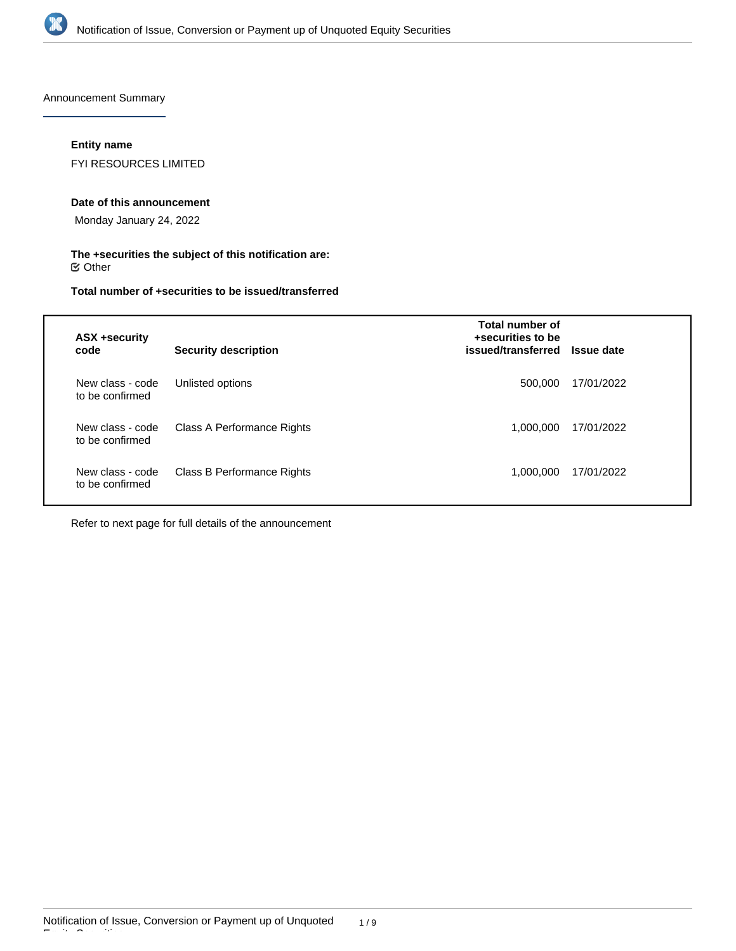

Announcement Summary

## **Entity name**

FYI RESOURCES LIMITED

## **Date of this announcement**

Monday January 24, 2022

## **The +securities the subject of this notification are:**  $\mathfrak S$  Other

## **Total number of +securities to be issued/transferred**

| <b>ASX +security</b><br>code        | <b>Security description</b> | Total number of<br>+securities to be<br>issued/transferred | <b>Issue date</b> |
|-------------------------------------|-----------------------------|------------------------------------------------------------|-------------------|
| New class - code<br>to be confirmed | Unlisted options            | 500,000                                                    | 17/01/2022        |
| New class - code<br>to be confirmed | Class A Performance Rights  | 1.000.000                                                  | 17/01/2022        |
| New class - code<br>to be confirmed | Class B Performance Rights  | 1.000.000                                                  | 17/01/2022        |

Refer to next page for full details of the announcement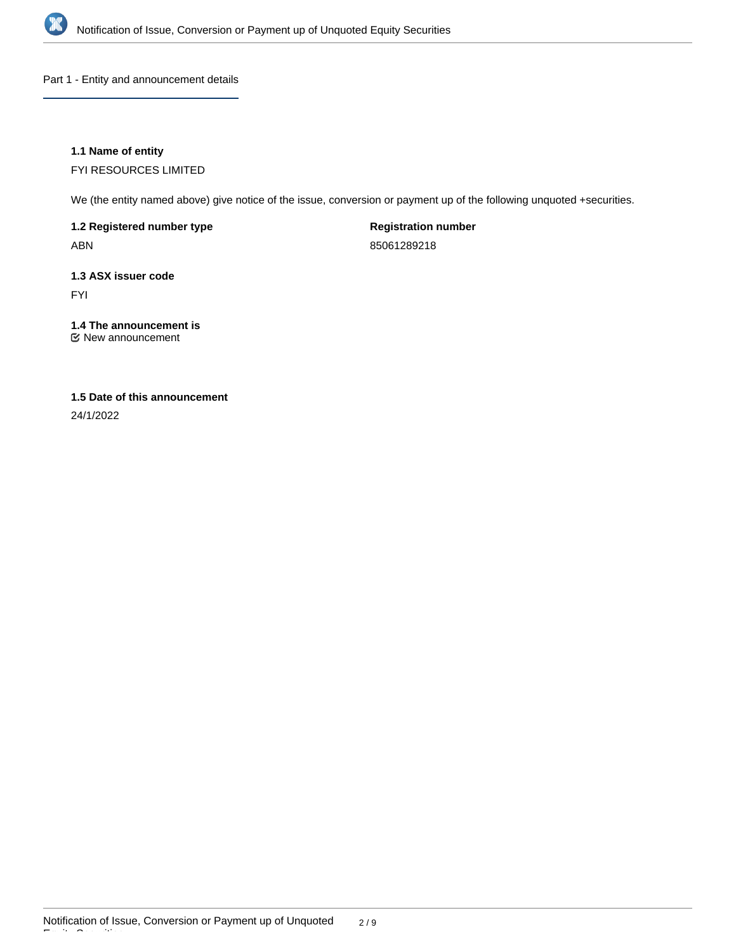

Part 1 - Entity and announcement details

## **1.1 Name of entity**

FYI RESOURCES LIMITED

We (the entity named above) give notice of the issue, conversion or payment up of the following unquoted +securities.

**1.2 Registered number type**

ABN

**Registration number**

85061289218

# **1.3 ASX issuer code**

FYI

## **1.4 The announcement is**

New announcement

## **1.5 Date of this announcement**

24/1/2022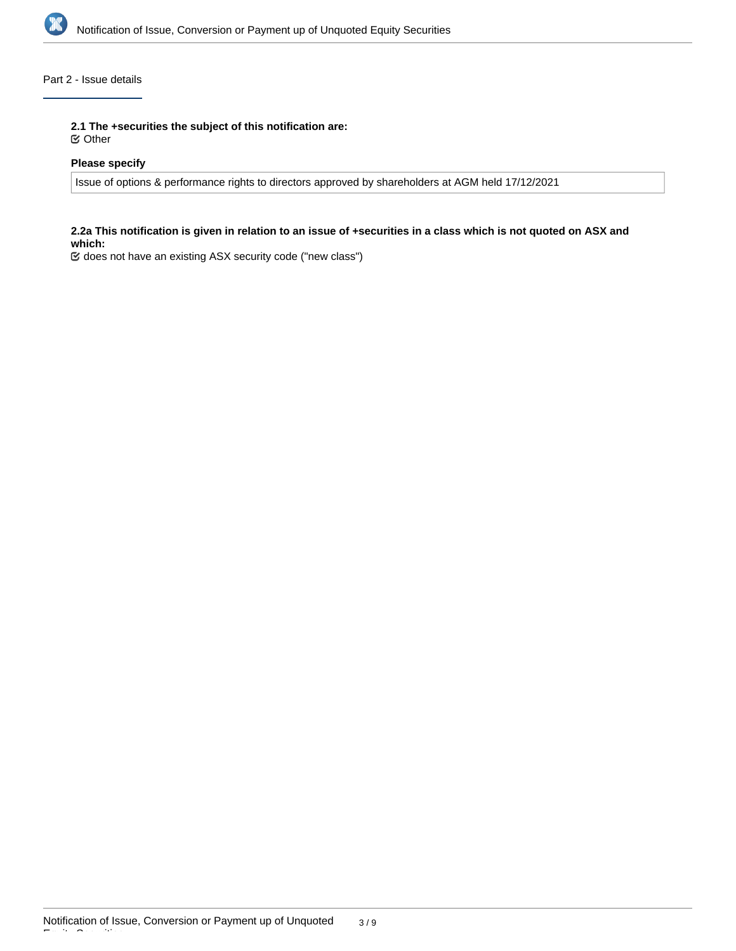

## Part 2 - Issue details

**2.1 The +securities the subject of this notification are:**

Other

## **Please specify**

Issue of options & performance rights to directors approved by shareholders at AGM held 17/12/2021

## **2.2a This notification is given in relation to an issue of +securities in a class which is not quoted on ASX and which:**

does not have an existing ASX security code ("new class")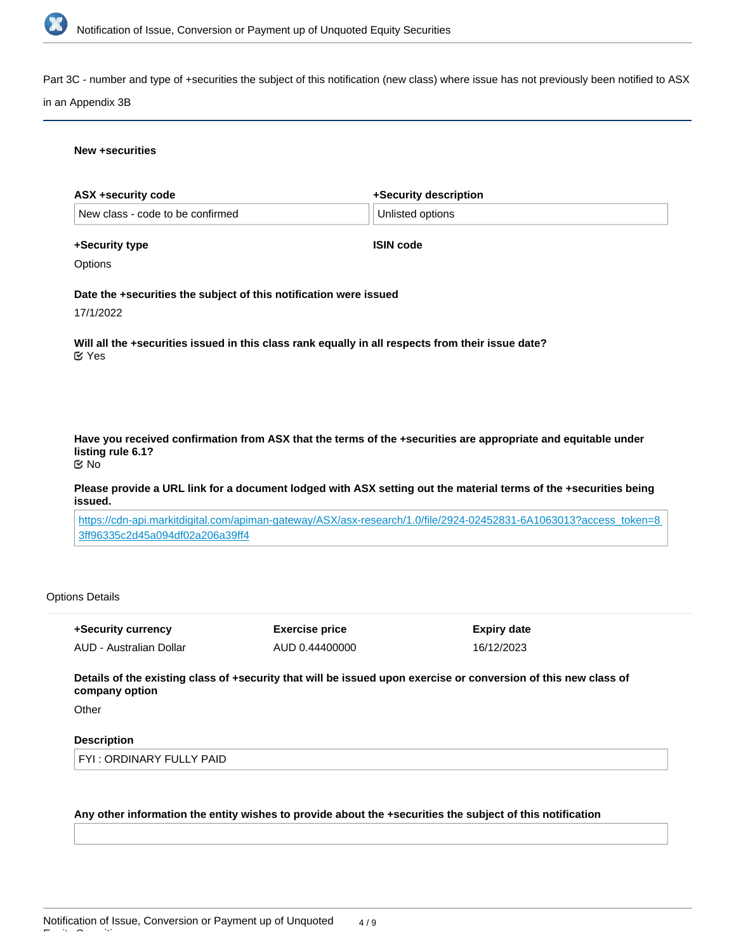

Part 3C - number and type of +securities the subject of this notification (new class) where issue has not previously been notified to ASX

## in an Appendix 3B

### **New +securities**

| ASX +security code                                                | +Security description                                                                                             |
|-------------------------------------------------------------------|-------------------------------------------------------------------------------------------------------------------|
| New class - code to be confirmed                                  | Unlisted options                                                                                                  |
| +Security type                                                    | <b>ISIN code</b>                                                                                                  |
| Options                                                           |                                                                                                                   |
| Date the +securities the subject of this notification were issued |                                                                                                                   |
| 17/1/2022                                                         |                                                                                                                   |
| $\mathfrak C$ Yes                                                 | Will all the +securities issued in this class rank equally in all respects from their issue date?                 |
|                                                                   |                                                                                                                   |
| listing rule 6.1?<br>$\mathfrak{C}$ No                            | Have you received confirmation from ASX that the terms of the +securities are appropriate and equitable under     |
| issued.                                                           | Please provide a URL link for a document lodged with ASX setting out the material terms of the +securities being  |
| 3ff96335c2d45a094df02a206a39ff4                                   | https://cdn-api.markitdigital.com/apiman-gateway/ASX/asx-research/1.0/file/2924-02452831-6A1063013?access token=8 |
|                                                                   |                                                                                                                   |

## Options Details

**+Security currency** AUD - Australian Dollar **Exercise price** AUD 0.44400000 **Expiry date** 16/12/2023

**Details of the existing class of +security that will be issued upon exercise or conversion of this new class of company option**

**Other** 

Equity Securities

## **Description**

FYI : ORDINARY FULLY PAID

### **Any other information the entity wishes to provide about the +securities the subject of this notification**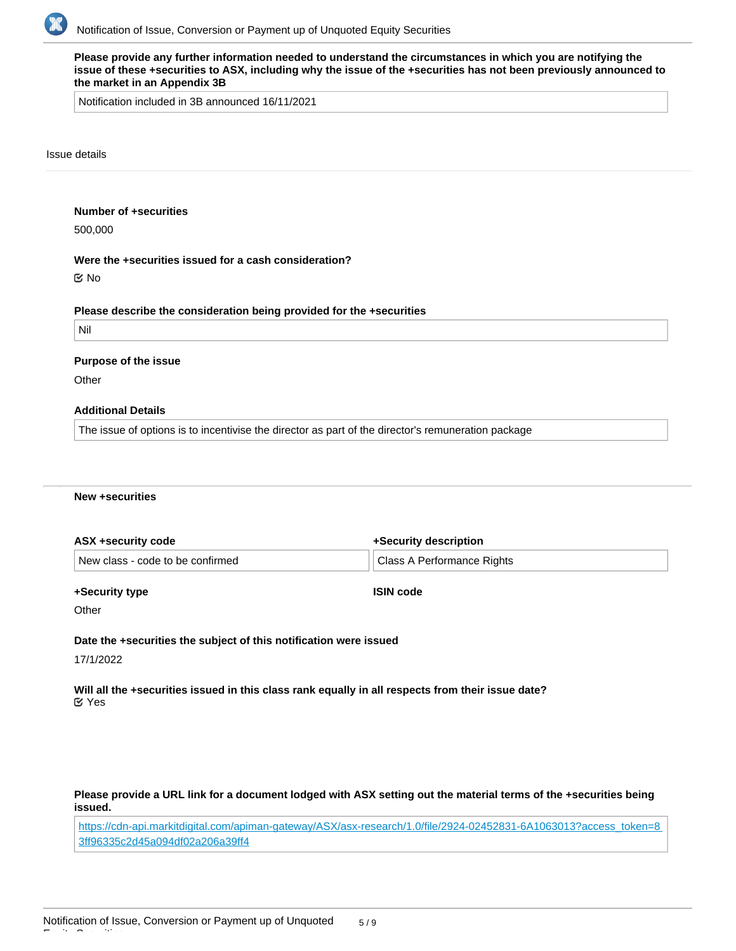

**Please provide any further information needed to understand the circumstances in which you are notifying the issue of these +securities to ASX, including why the issue of the +securities has not been previously announced to the market in an Appendix 3B** Notification included in 3B announced 16/11/2021 Issue details **Number of +securities** 500,000 **Were the +securities issued for a cash consideration? Please describe the consideration being provided for the +securities** Nil **Purpose of the issue Other Additional Details** The issue of options is to incentivise the director as part of the director's remuneration package No

### **New +securities**

| ASX +security code               | +Security description      |  |
|----------------------------------|----------------------------|--|
| New class - code to be confirmed | Class A Performance Rights |  |

#### **+Security type**

**ISIN code**

**Other** 

**Date the +securities the subject of this notification were issued**

17/1/2022

Equity Securities

**Will all the +securities issued in this class rank equally in all respects from their issue date?** Yes

**Please provide a URL link for a document lodged with ASX setting out the material terms of the +securities being issued.**

[https://cdn-api.markitdigital.com/apiman-gateway/ASX/asx-research/1.0/file/2924-02452831-6A1063013?access\\_token=8](https://cdn-api.markitdigital.com/apiman-gateway/ASX/asx-research/1.0/file/2924-02452831-6A1063013?access_token=83ff96335c2d45a094df02a206a39ff4) [3ff96335c2d45a094df02a206a39ff4](https://cdn-api.markitdigital.com/apiman-gateway/ASX/asx-research/1.0/file/2924-02452831-6A1063013?access_token=83ff96335c2d45a094df02a206a39ff4)

**Any other information the entity wishes to provide about the +securities the subject of this notification**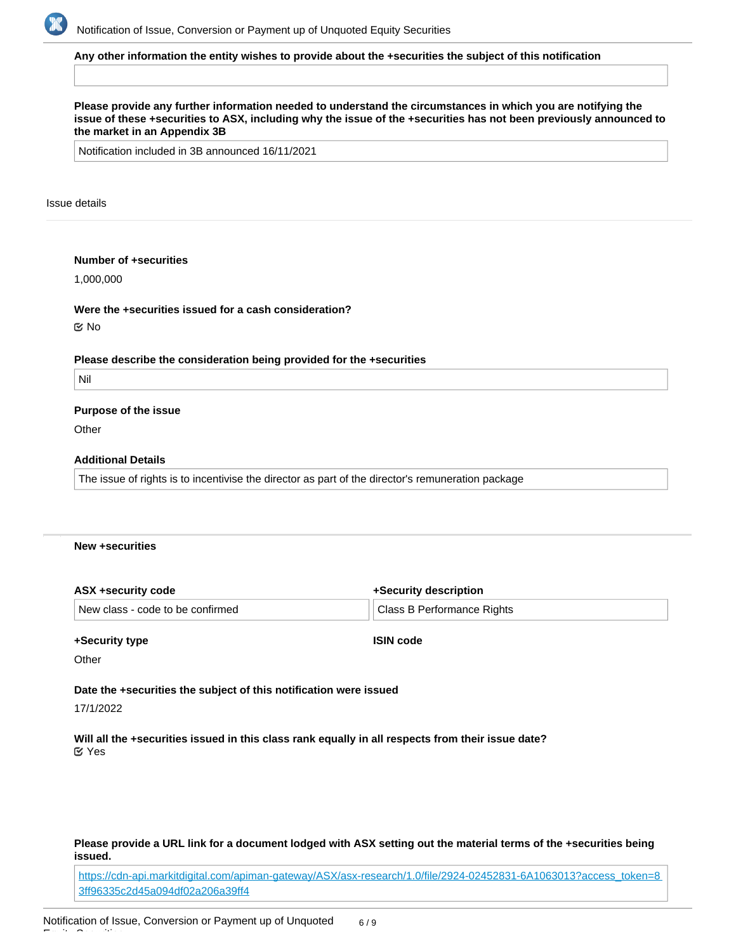

### **Any other information the entity wishes to provide about the +securities the subject of this notification**

## **Please provide any further information needed to understand the circumstances in which you are notifying the issue of these +securities to ASX, including why the issue of the +securities has not been previously announced to the market in an Appendix 3B**

Notification included in 3B announced 16/11/2021

#### Issue details

## **Number of +securities**

1,000,000

## **Were the +securities issued for a cash consideration?**

No

#### **Please describe the consideration being provided for the +securities**

Nil

## **Purpose of the issue**

**Other** 

## **Additional Details**

The issue of rights is to incentivise the director as part of the director's remuneration package

## **New +securities**

| ASX +security code               | +Security description      |  |
|----------------------------------|----------------------------|--|
| New class - code to be confirmed | Class B Performance Rights |  |

## **+Security type**

**ISIN code**

**Other** 

**Date the +securities the subject of this notification were issued**

17/1/2022

Equity Securities

**Will all the +securities issued in this class rank equally in all respects from their issue date?** Yes

## **Please provide a URL link for a document lodged with ASX setting out the material terms of the +securities being issued.**

[https://cdn-api.markitdigital.com/apiman-gateway/ASX/asx-research/1.0/file/2924-02452831-6A1063013?access\\_token=8](https://cdn-api.markitdigital.com/apiman-gateway/ASX/asx-research/1.0/file/2924-02452831-6A1063013?access_token=83ff96335c2d45a094df02a206a39ff4) [3ff96335c2d45a094df02a206a39ff4](https://cdn-api.markitdigital.com/apiman-gateway/ASX/asx-research/1.0/file/2924-02452831-6A1063013?access_token=83ff96335c2d45a094df02a206a39ff4)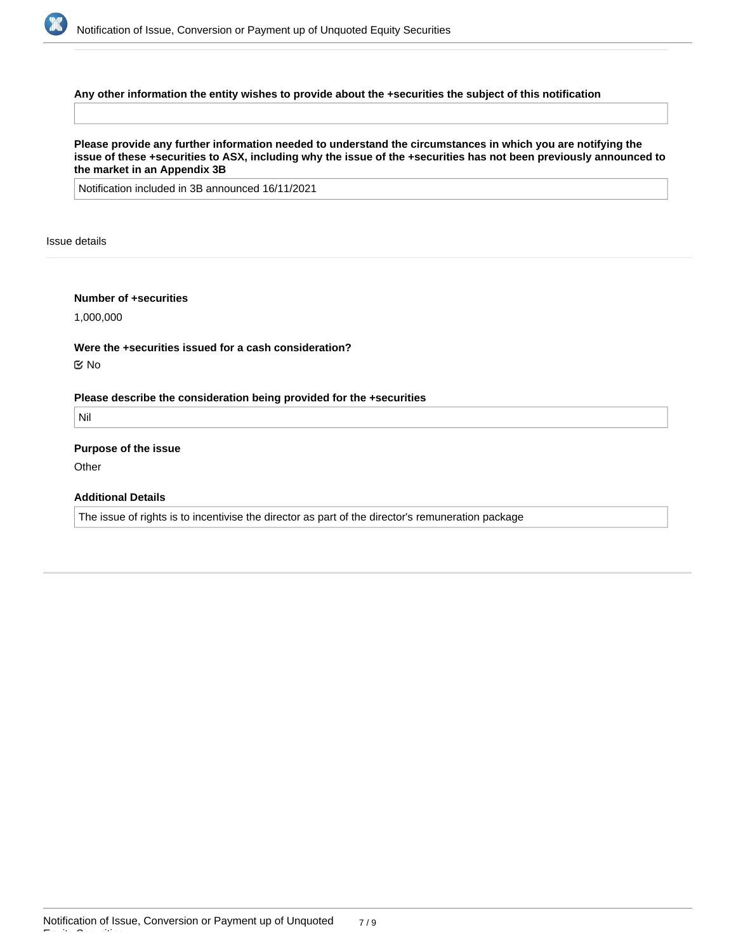

## **Any other information the entity wishes to provide about the +securities the subject of this notification**

**Please provide any further information needed to understand the circumstances in which you are notifying the issue of these +securities to ASX, including why the issue of the +securities has not been previously announced to the market in an Appendix 3B**

Notification included in 3B announced 16/11/2021

Issue details

## **Number of +securities**

1,000,000

**Were the +securities issued for a cash consideration?** No

**Please describe the consideration being provided for the +securities**

Nil

**Purpose of the issue**

**Other** 

Equity Securities

**Additional Details**

The issue of rights is to incentivise the director as part of the director's remuneration package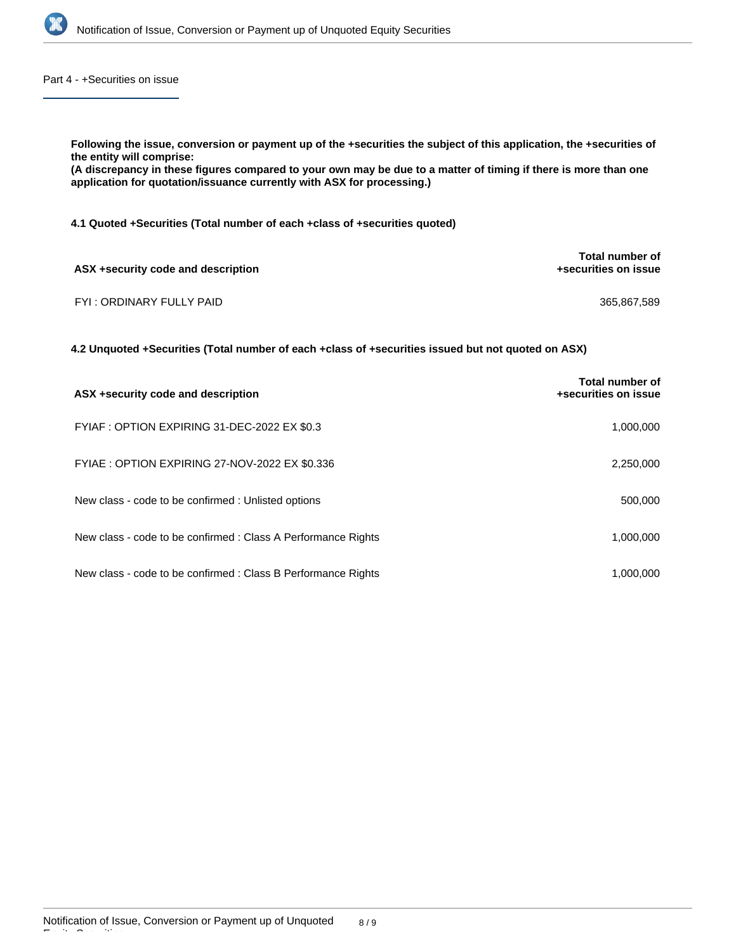

Part 4 - +Securities on issue

| Following the issue, conversion or payment up of the +securities the subject of this application, the +securities of<br>the entity will comprise:<br>(A discrepancy in these figures compared to your own may be due to a matter of timing if there is more than one<br>application for quotation/issuance currently with ASX for processing.) |                                         |  |
|------------------------------------------------------------------------------------------------------------------------------------------------------------------------------------------------------------------------------------------------------------------------------------------------------------------------------------------------|-----------------------------------------|--|
| 4.1 Quoted + Securities (Total number of each + class of + securities quoted)                                                                                                                                                                                                                                                                  |                                         |  |
| ASX +security code and description                                                                                                                                                                                                                                                                                                             | Total number of<br>+securities on issue |  |
| FYI: ORDINARY FULLY PAID                                                                                                                                                                                                                                                                                                                       | 365,867,589                             |  |
| 4.2 Unquoted +Securities (Total number of each +class of +securities issued but not quoted on ASX)                                                                                                                                                                                                                                             |                                         |  |
| ASX +security code and description                                                                                                                                                                                                                                                                                                             | Total number of<br>+securities on issue |  |
| FYIAF : OPTION EXPIRING 31-DEC-2022 EX \$0.3                                                                                                                                                                                                                                                                                                   | 1,000,000                               |  |

FYIAE : OPTION EXPIRING 27-NOV-2022 EX \$0.336 2,250,000

| New class - code to be confirmed : Unlisted options | 500,000 |
|-----------------------------------------------------|---------|
|                                                     |         |

| New class - code to be confirmed : Class A Performance Rights | 1.000.000 |
|---------------------------------------------------------------|-----------|
|                                                               |           |
| New class - code to be confirmed : Class B Performance Rights | 1,000,000 |